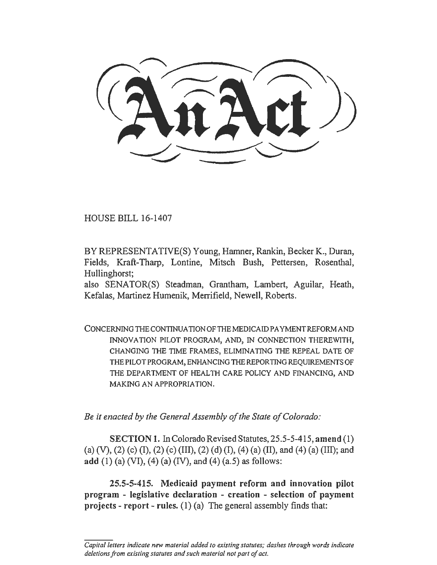HOUSE BILL 16-1407

BYREPRESENTATIVE(S) Young, Hamner, Rankin, BeckerK., Duran, Fields, Kraft-Tharp, Lontine, Mitsch Bush, Pettersen, Rosenthal, Hullinghorst;

also SENATOR(S) Steadman, Grantham, Lambert, Aguilar, Heath, Kefalas, Martinez Humenik, Merrifield, Newell, Roberts.

CONCERNING THE CONTINUATION OF THE MEDICAID PA YMENTREFORM AND INNOVATION PILOT PROGRAM, AND, IN CONNECTION THEREWITH, CHANGING THE TIME FRAMES, ELIMINATING THE REPEAL DATE OF THE PILOT PROGRAM, ENHANCING THE REPORTING REQUIREMENTS OF THE DEPARTMENT OF HEALTH CARE POLICY AND FINANCING, AND MAKING AN APPROPRIATION.

*Be it enacted by the General Assembly of the State of Colorado:* 

SECTION 1. In Colorado Revised Statutes, 25.5-5-415, amend (1) (a) (V), (2) (c) (I), (2) (c) (III), (2) (d) (I), (4) (a) (II), and (4) (a) (III); and add (1) (a) (VI), (4) (a) (IV), and (4) (a.5) as follows:

25.5-5-415. Medicaid payment reform and innovation pilot program - legislative declaration - creation - selection of payment projects - report - rules.  $(1)$  (a) The general assembly finds that:

*Capital letters indicate new material added to existing statutes; dashes through words indicate deletions from existing statutes and such material not part of act.*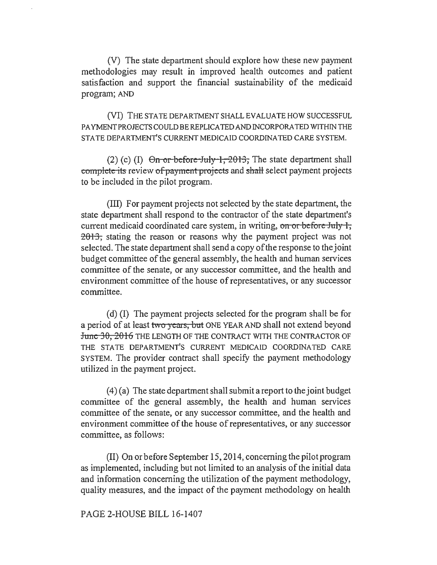(V) The state department should explore how these new payment methodologies may result in improved health outcomes and patient satisfaction and support the financial sustainability of the medicaid program; AND

(VI) THE STATE DEPARTMENT SHALL EVALUATE HOW SUCCESSFUL PA YMENTPROJECTSCOULD BE REPLICA TED AND INCORPORATED WITHIN THE STATE DEPARTMENT'S CURRENT MEDICAID COORDINATED CARE SYSTEM.

(2) (c) (I)  $\Theta$ n or before July 1, 2013, The state department shall complete its review of payment projects and shall select payment projects to be included in the pilot program.

(III) For payment projects not selected by the state department, the state department shall respond to the contractor of the state department's current medicaid coordinated care system, in writing, on or before July  $\ddagger$ ;  $2013$ ; stating the reason or reasons why the payment project was not selected. The state department shall send a copy of the response to the joint budget committee of the general assembly, the health and human services committee of the senate, or any successor committee, and the health and environment committee of the house of representatives, or any successor committee.

( d) (I) The payment projects selected for the program shall be for a period of at least two years, but ONE YEAR AND shall not extend beyond June 30, 2016 THE LENGTH OF THE CONTRACT WITH THE CONTRACTOR OF THE STATE DEPARTMENT'S CURRENT MEDICAID COORDINATED CARE SYSTEM. The provider contract shall specify the payment methodology utilized in the payment project.

 $(4)$  (a) The state department shall submit a report to the joint budget committee of the general assembly, the health and human services committee of the senate, or any successor committee, and the health and environment committee of the house of representatives, or any successor committee, as follows:

(II) On or before September 15, 2014, concerning the pilot program as implemented, including but not limited to an analysis of the initial data and information concerning the utilization of the payment methodology, quality measures, and the impact of the payment methodology on health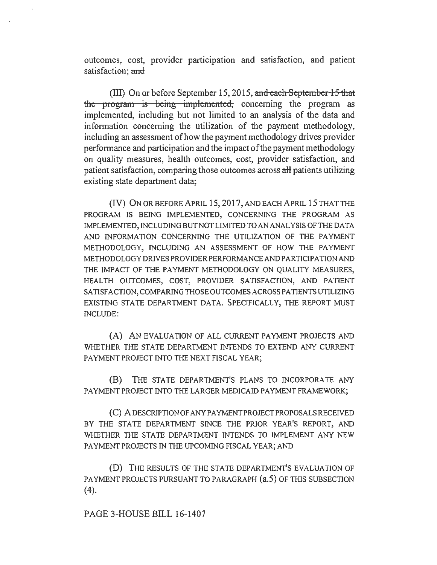outcomes, cost, provider participation and satisfaction, and patient satisfaction; and

(III) On or before September 15, 2015, and each September 15 that the program is being implemented, concerning the program as implemented, including but not limited to an analysis of the data and information concerning the utilization of the payment methodology, including an assessment of how the payment methodology drives provider performance and participation and the impact of the payment methodology on quality measures, health outcomes, cost, provider satisfaction, and patient satisfaction, comparing those outcomes across aH patients utilizing existing state department data;

(IV) ON OR BEFORE APRIL 15, 2017, AND EACH APRIL 15 THAT THE PROGRAM IS BEING IMPLEMENTED, CONCERNING THE PROGRAM AS IMPLEMENTED, INCLUDING BUT NOT LIMITED TO AN ANALYSIS OF THE DATA AND INFORMATION CONCERNING THE UTILIZATION OF THE PAYMENT METHODOLOGY, INCLUDING AN ASSESSMENT OF HOW THE PAYMENT METHODOLOGY DRIVES PROVIDER PERFORMANCE AND PARTICIPATION AND THE IMPACT OF THE PAYMENT METHODOLOGY ON QUALITY MEASURES, HEALTH OUTCOMES, COST, PROVIDER SATISFACTION, AND PATIENT SATISFACTION, COMPARING THOSE OUTCOMES ACROSS PATIENTS UTILIZING EXISTING STATE DEPARTMENT DATA. SPECIFICALLY, THE REPORT MUST INCLUDE:

(A) AN EVALUATION OF ALL CURRENT PAYMENT PROJECTS AND WHETHER THE STATE DEPARTMENT INTENDS TO EXTEND ANY CURRENT PAYMENT PROJECT INTO THE NEXT FISCAL YEAR;

(B) THE STATE DEPARTMENT'S PLANS TO INCORPORATE ANY PAYMENT PROJECT INTO THE LARGER MEDICAID PAYMENT FRAMEWORK;

(C) A DESCRIPTION OF ANY PA YMENTPROJECT PROPOSALS RECEIVED BY THE STATE DEPARTMENT SINCE THE PRIOR YEAR'S REPORT, AND WHETHER THE STATE DEPARTMENT INTENDS TO IMPLEMENT ANY NEW PAYMENT PROJECTS IN THE UPCOMING FISCAL YEAR; AND

(D) THE RESULTS OF THE STATE DEPARTMENT'S EVALUATION OF PAYMENT PROJECTS PURSUANT TO PARAGRAPH (a.5) OF THIS SUBSECTION (4).

PAGE 3-HOUSE BILL 16-1407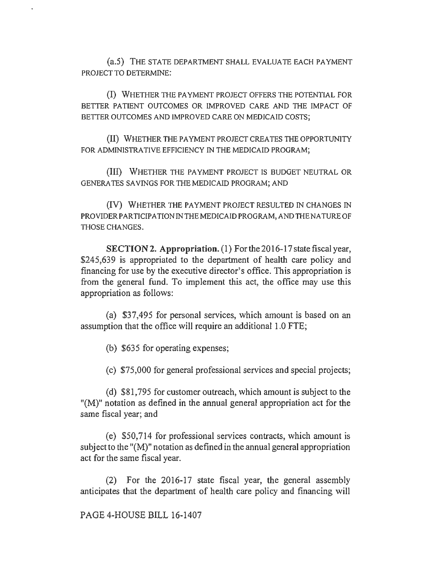(a.5) THE STATE DEPARTMENT SHALL EVALUATE EACH PAYMENT PROJECT TO DETERMINE:

(I) WHETHER THE PAYMENT PROJECT OFFERS THE POTENTIAL FOR BETTER PATIENT OUTCOMES OR IMPROVED CARE AND THE IMPACT OF BETTER OUTCOMES AND IMPROVED CARE ON MEDICAID COSTS;

(II) WHETHER THE PAYMENT PROJECT CREATES THE OPPORTUNITY FOR ADMINISTRATIVE EFFICIENCY IN THE MEDICAID PROGRAM;

(III) WHETHER THE PAYMENT PROJECT IS BUDGET NEUTRAL OR GENERATES SAVINGS FOR THE MEDICAID PROGRAM; AND

(IV) WHETHER THE PAYMENT PROJECT RESULTED IN CHANGES IN PROVIDER PARTICIPATION IN THE MEDICAID PROGRAM, AND THE NATURE OF THOSE CHANGES.

SECTION2. **Appropriation.** (1) Forthe2016-l 7 state fiscal year, \$245,639 is appropriated to the department of health care policy and financing for use by the executive director's office. This appropriation is from the general fund. To implement this act, the office may use this appropriation as follows:

(a) \$37,495 for personal services, which amount is based on an assumption that the office will require an additional 1.0 FTE;

(b) \$635 for operating expenses;

(c) \$75,000 for general professional services and special projects;

(d) \$81,795 for customer outreach, which amount is subject to the  $M<sup>1</sup>$  notation as defined in the annual general appropriation act for the same fiscal year; and

( e) \$50, 714 for professional services contracts, which amount is subject to the "(M)" notation as defined in the annual general appropriation act for the same fiscal year.

(2) For the 2016-17 state fiscal year, the general assembly anticipates that the department of health care policy and financing will

PAGE 4-HOUSE BILL 16-1407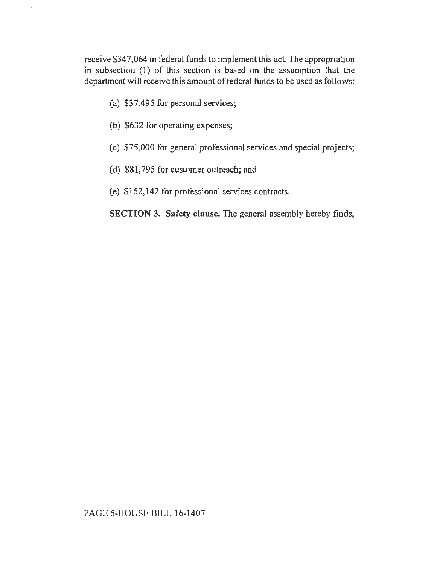receive \$347,064 in federal funds to implement this act. The appropriation in subsection (1) of this section is based on the assumption that the department will receive this amount of federal funds to be used as follows:

(a) \$37,495 for personal services;

 $\ddot{\phantom{0}}$ 

- (b) \$632 for operating expenses;
- (c) \$75,000 for general professional services and special projects;
- (d) \$81,795 for customer outreach; and
- (e) \$152,142 for professional services contracts.

SECTION 3. Safety clause. The general assembly hereby finds,